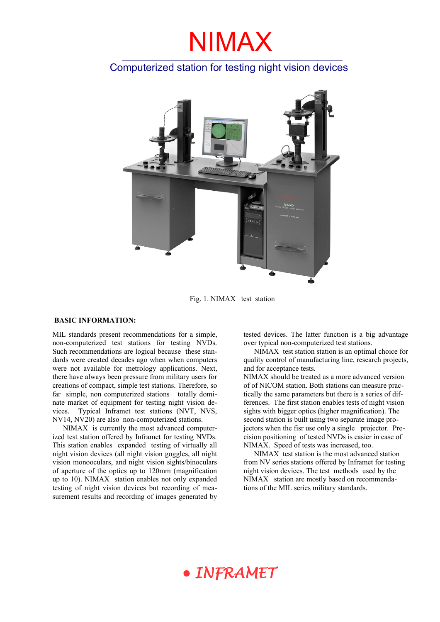### Computerized station for testing night vision devices



Fig. 1. NIMAX test station

#### **BASIC INFORMATION:**

MIL standards present recommendations for a simple, non-computerized test stations for testing NVDs. Such recommendations are logical because these standards were created decades ago when when computers were not available for metrology applications. Next, there have always been pressure from military users for creations of compact, simple test stations. Therefore, so far simple, non computerized stations totally dominate market of equipment for testing night vision devices. Typical Inframet test stations (NVT, NVS, NV14, NV20) are also non-computerized stations.

NIMAX is currently the most advanced computerized test station offered by Inframet for testing NVDs. This station enables expanded testing of virtually all night vision devices (all night vision goggles, all night vision monooculars, and night vision sights/binoculars of aperture of the optics up to 120mm (magnification up to 10). NIMAX station enables not only expanded testing of night vision devices but recording of measurement results and recording of images generated by

tested devices. The latter function is a big advantage over typical non-computerized test stations.

NIMAX test station station is an optimal choice for quality control of manufacturing line, research projects, and for acceptance tests.

NIMAX should be treated as a more advanced version of of NICOM station. Both stations can measure practically the same parameters but there is a series of differences. The first station enables tests of night vision sights with bigger optics (higher magnification). The second station is built using two separate image projectors when the fisr use only a single projector. Precision positioning of tested NVDs is easier in case of NIMAX. Speed of tests was increased, too.

NIMAX test station is the most advanced station from NV series stations offered by Inframet for testing night vision devices. The test methods used by the NIMAX station are mostly based on recommendations of the MIL series military standards.

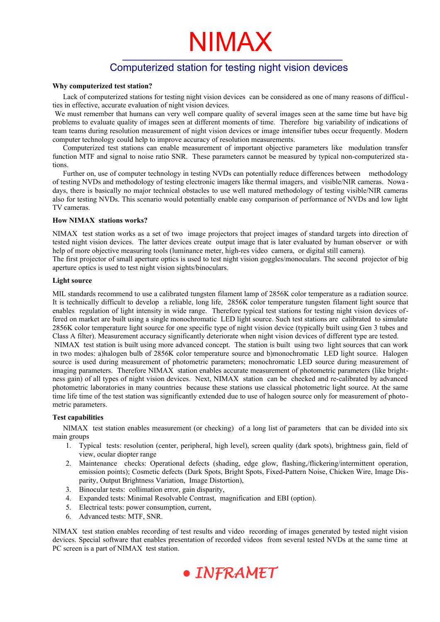### Computerized station for testing night vision devices

#### **Why computerized test station?**

Lack of computerized stations for testing night vision devices can be considered as one of many reasons of difficulties in effective, accurate evaluation of night vision devices.

We must remember that humans can very well compare quality of several images seen at the same time but have big problems to evaluate quality of images seen at different moments of time. Therefore big variability of indications of team teams during resolution measurement of night vision devices or image intensifier tubes occur frequently. Modern computer technology could help to improve accuracy of resolution measurements.

Computerized test stations can enable measurement of important objective parameters like modulation transfer function MTF and signal to noise ratio SNR. These parameters cannot be measured by typical non-computerized stations.

Further on, use of computer technology in testing NVDs can potentially reduce differences between methodology of testing NVDs and methodology of testing electronic imagers like thermal imagers, and visible/NIR cameras. Nowadays, there is basically no major technical obstacles to use well matured methodology of testing visible/NIR cameras also for testing NVDs. This scenario would potentially enable easy comparison of performance of NVDs and low light TV cameras.

#### **How NIMAX stations works?**

NIMAX test station works as a set of two image projectors that project images of standard targets into direction of tested night vision devices. The latter devices create output image that is later evaluated by human observer or with help of more objective measuring tools (luminance meter, high-res video camera, or digital still camera).

The first projector of small aperture optics is used to test night vision goggles/monoculars. The second projector of big aperture optics is used to test night vision sights/binoculars.

#### **Light source**

MIL standards recommend to use a calibrated tungsten filament lamp of 2856K color temperature as a radiation source. It is technically difficult to develop a reliable, long life, 2856K color temperature tungsten filament light source that enables regulation of light intensity in wide range. Therefore typical test stations for testing night vision devices offered on market are built using a single monochromatic LED light source. Such test stations are calibrated to simulate 2856K color temperature light source for one specific type of night vision device (typically built using Gen 3 tubes and Class A filter). Measurement accuracy significantly deteriorate when night vision devices of different type are tested.

NIMAX test station is built using more advanced concept. The station is built using two light sources that can work in two modes: a)halogen bulb of 2856K color temperature source and b)monochromatic LED light source. Halogen source is used during measurement of photometric parameters; monochromatic LED source during measurement of imaging parameters. Therefore NIMAX station enables accurate measurement of photometric parameters (like brightness gain) of all types of night vision devices. Next, NIMAX station can be checked and re-calibrated by advanced photometric laboratories in many countries because these stations use classical photometric light source. At the same time life time of the test station was significantly extended due to use of halogen source only for measurement of photometric parameters.

#### **Test capabilities**

NIMAX test station enables measurement (or checking) of a long list of parameters that can be divided into six main groups

- 1. Typical tests: resolution (center, peripheral, high level), screen quality (dark spots), brightness gain, field of view, ocular diopter range
- 2. Maintenance checks: Operational defects (shading, edge glow, flashing,/flickering/intermittent operation, emission points); Cosmetic defects (Dark Spots, Bright Spots, Fixed-Pattern Noise, Chicken Wire, Image Disparity, Output Brightness Variation, Image Distortion),
- 3. Binocular tests: collimation error, gain disparity,
- 4. Expanded tests: Minimal Resolvable Contrast, magnification and EBI (option).
- 5. Electrical tests: power consumption, current,
- 6. Advanced tests: MTF, SNR.

NIMAX test station enables recording of test results and video recording of images generated by tested night vision devices. Special software that enables presentation of recorded videos from several tested NVDs at the same time at PC screen is a part of NIMAX test station.

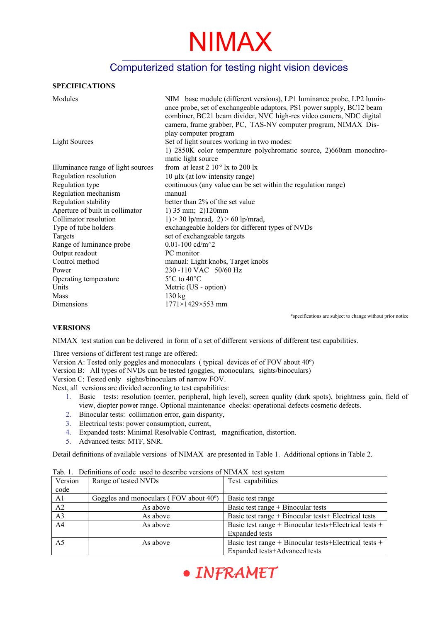### Computerized station for testing night vision devices

#### **SPECIFICATIONS**

| Modules                            | NIM base module (different versions), LP1 luminance probe, LP2 lumin-<br>ance probe, set of exchangeable adaptors, PS1 power supply, BC12 beam<br>combiner, BC21 beam divider, NVC high-res video camera, NDC digital<br>camera, frame grabber, PC, TAS-NV computer program, NIMAX Dis- |
|------------------------------------|-----------------------------------------------------------------------------------------------------------------------------------------------------------------------------------------------------------------------------------------------------------------------------------------|
| <b>Light Sources</b>               | play computer program<br>Set of light sources working in two modes:<br>1) 2850K color temperature polychromatic source, 2)660nm monochro-<br>matic light source                                                                                                                         |
| Illuminance range of light sources | from at least $2 \times 10^{-5}$ lx to $200$ lx                                                                                                                                                                                                                                         |
| Regulation resolution              | $10 \mu$ lx (at low intensity range)                                                                                                                                                                                                                                                    |
| Regulation type                    | continuous (any value can be set within the regulation range)                                                                                                                                                                                                                           |
| Regulation mechanism               | manual                                                                                                                                                                                                                                                                                  |
| Regulation stability               | better than 2% of the set value                                                                                                                                                                                                                                                         |
| Aperture of built in collimator    | $1)$ 35 mm; 2)120mm                                                                                                                                                                                                                                                                     |
| Collimator resolution              | $1) > 30$ lp/mrad, $2) > 60$ lp/mrad,                                                                                                                                                                                                                                                   |
| Type of tube holders               | exchangeable holders for different types of NVDs                                                                                                                                                                                                                                        |
| Targets                            | set of exchangeable targets                                                                                                                                                                                                                                                             |
| Range of luminance probe           | 0.01-100 cd/m <sup><math>\sim</math>2</sup>                                                                                                                                                                                                                                             |
| Output readout                     | PC monitor                                                                                                                                                                                                                                                                              |
| Control method                     | manual: Light knobs, Target knobs                                                                                                                                                                                                                                                       |
| Power                              | 230 -110 VAC 50/60 Hz                                                                                                                                                                                                                                                                   |
| Operating temperature              | $5^{\circ}$ C to 40 $^{\circ}$ C                                                                                                                                                                                                                                                        |
| Units                              | Metric (US - option)                                                                                                                                                                                                                                                                    |
| Mass                               | 130 kg                                                                                                                                                                                                                                                                                  |
| Dimensions                         | $1771\times1429\times553$ mm                                                                                                                                                                                                                                                            |

\*specifications are subject to change without prior notice

#### **VERSIONS**

NIMAX test station can be delivered in form of a set of different versions of different test capabilities.

Three versions of different test range are offered:

Version A: Tested only goggles and monoculars ( typical devices of of FOV about 40º)

Version B: All types of NVDs can be tested (goggles, monoculars, sights/binoculars)

Version C: Tested only sights/binoculars of narrow FOV.

Next, all versions are divided according to test capabilities:

- 1. Basic tests: resolution (center, peripheral, high level), screen quality (dark spots), brightness gain, field of view, diopter power range. Optional maintenance checks: operational defects cosmetic defects.
- 2. Binocular tests: collimation error, gain disparity,
- 3. Electrical tests: power consumption, current,
- 4. Expanded tests: Minimal Resolvable Contrast, magnification, distortion.
- 5. Advanced tests: MTF, SNR.

Detail definitions of available versions of NIMAX are presented in Table 1. Additional options in Table 2.

| Version        | Range of tested NVDs                                | Test capabilities                                     |
|----------------|-----------------------------------------------------|-------------------------------------------------------|
| code           |                                                     |                                                       |
| A <sub>1</sub> | Goggles and monoculars (FOV about 40 <sup>o</sup> ) | Basic test range                                      |
| A2             | As above                                            | Basic test range $+$ Binocular tests                  |
| A <sub>3</sub> | As above                                            | Basic test range + Binocular tests + Electrical tests |
| A <sub>4</sub> | As above                                            | Basic test range + Binocular tests+Electrical tests + |
|                |                                                     | <b>Expanded</b> tests                                 |
| A <sub>5</sub> | As above                                            | Basic test range + Binocular tests+Electrical tests + |
|                |                                                     | Expanded tests+Advanced tests                         |

Tab. 1. Definitions of code used to describe versions of NIMAX test system